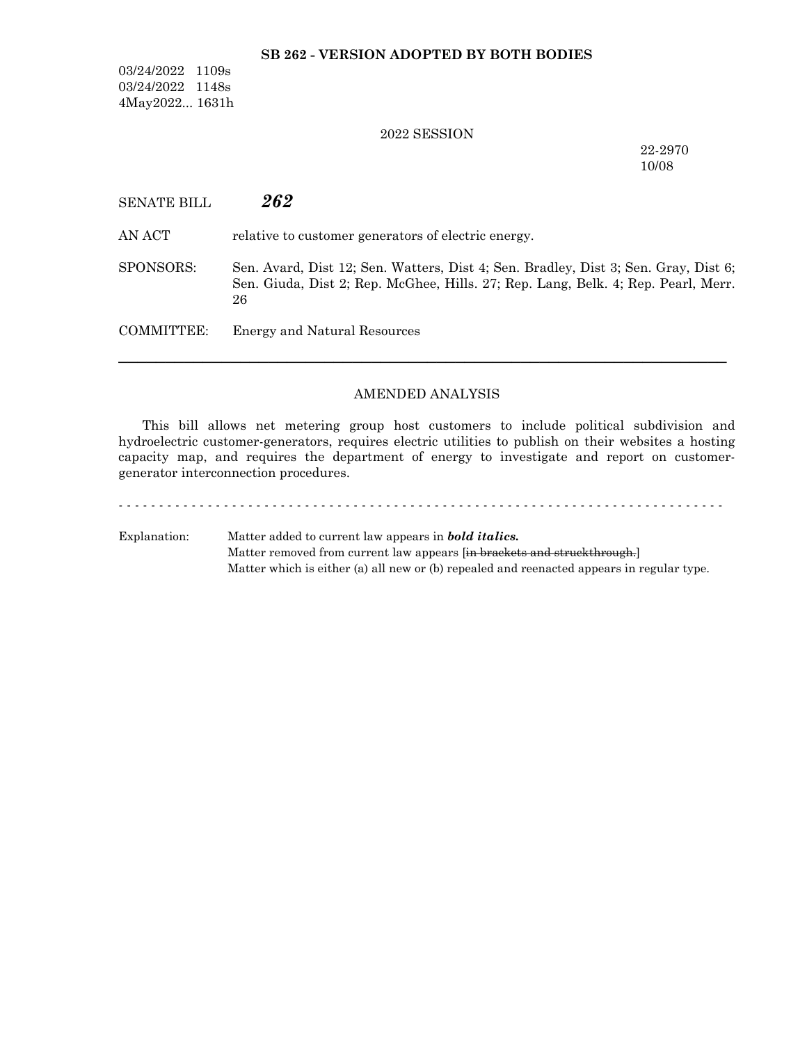## **SB 262 - VERSION ADOPTED BY BOTH BODIES**

03/24/2022 1109s 03/24/2022 1148s 4May2022... 1631h

### 2022 SESSION

22-2970 10/08

| <b>SENATE BILL</b> | 262 |
|--------------------|-----|
|--------------------|-----|

AN ACT relative to customer generators of electric energy.

SPONSORS: Sen. Avard, Dist 12; Sen. Watters, Dist 4; Sen. Bradley, Dist 3; Sen. Gray, Dist 6; Sen. Giuda, Dist 2; Rep. McGhee, Hills. 27; Rep. Lang, Belk. 4; Rep. Pearl, Merr. 26

COMMITTEE: Energy and Natural Resources

### AMENDED ANALYSIS

─────────────────────────────────────────────────────────────────

This bill allows net metering group host customers to include political subdivision and hydroelectric customer-generators, requires electric utilities to publish on their websites a hosting capacity map, and requires the department of energy to investigate and report on customergenerator interconnection procedures.

# - - - - - - - - - - - - - - - - - - - - - - - - - - - - - - - - - - - - - - - - - - - - - - - - - - - - - - - - - - - - - - - - - - - - - - - - - - - Explanation: Matter added to current law appears in *bold italics.*

Matter removed from current law appears [in brackets and struckthrough.] Matter which is either (a) all new or (b) repealed and reenacted appears in regular type.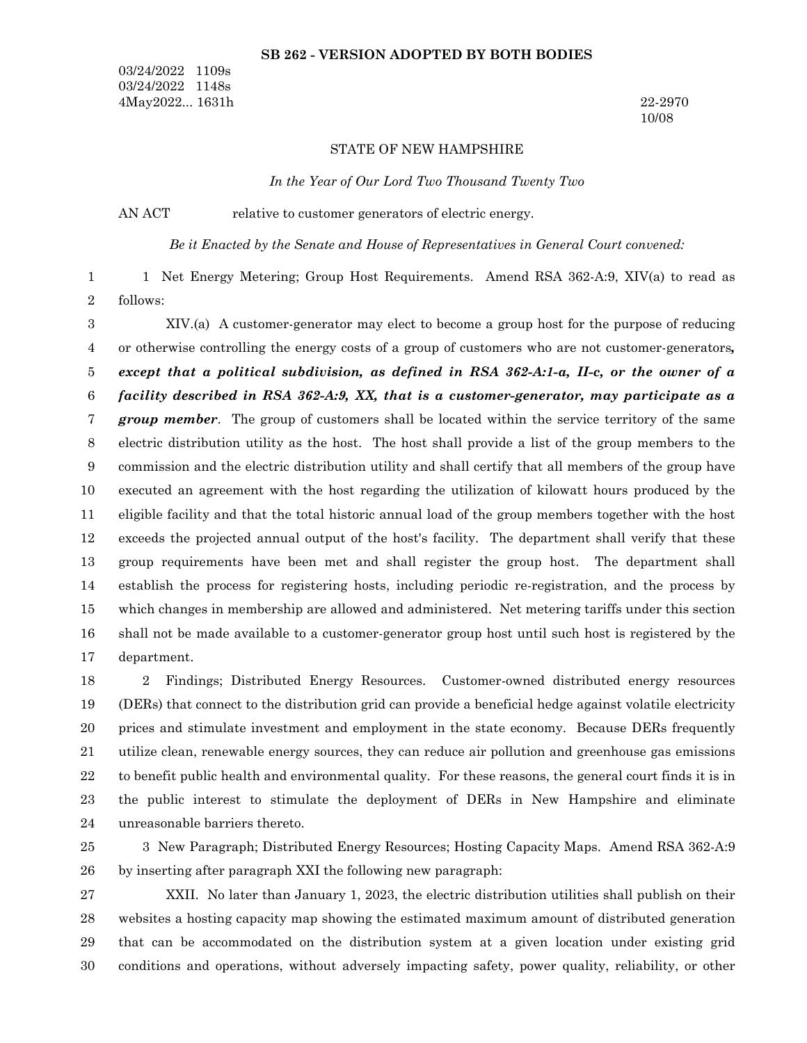### **SB 262 - VERSION ADOPTED BY BOTH BODIES**

03/24/2022 1109s 03/24/2022 1148s 4May2022... 1631h 22-2970

10/08

#### STATE OF NEW HAMPSHIRE

*In the Year of Our Lord Two Thousand Twenty Two*

AN ACT relative to customer generators of electric energy.

*Be it Enacted by the Senate and House of Representatives in General Court convened:*

1 Net Energy Metering; Group Host Requirements. Amend RSA 362-A:9, XIV(a) to read as follows: 1 2

XIV.(a) A customer-generator may elect to become a group host for the purpose of reducing or otherwise controlling the energy costs of a group of customers who are not customer-generators*, except that a political subdivision, as defined in RSA 362-A:1-a, II-c, or the owner of a facility described in RSA 362-A:9, XX, that is a customer-generator, may participate as a group member*. The group of customers shall be located within the service territory of the same electric distribution utility as the host. The host shall provide a list of the group members to the commission and the electric distribution utility and shall certify that all members of the group have executed an agreement with the host regarding the utilization of kilowatt hours produced by the eligible facility and that the total historic annual load of the group members together with the host exceeds the projected annual output of the host's facility. The department shall verify that these group requirements have been met and shall register the group host. The department shall establish the process for registering hosts, including periodic re-registration, and the process by which changes in membership are allowed and administered. Net metering tariffs under this section shall not be made available to a customer-generator group host until such host is registered by the department. 3 4 5 6 7 8 9 10 11 12 13 14 15 16 17

2 Findings; Distributed Energy Resources. Customer-owned distributed energy resources (DERs) that connect to the distribution grid can provide a beneficial hedge against volatile electricity prices and stimulate investment and employment in the state economy. Because DERs frequently utilize clean, renewable energy sources, they can reduce air pollution and greenhouse gas emissions to benefit public health and environmental quality. For these reasons, the general court finds it is in the public interest to stimulate the deployment of DERs in New Hampshire and eliminate unreasonable barriers thereto. 18 19 20 21 22 23 24

3 New Paragraph; Distributed Energy Resources; Hosting Capacity Maps. Amend RSA 362-A:9 by inserting after paragraph XXI the following new paragraph: 25 26

XXII. No later than January 1, 2023, the electric distribution utilities shall publish on their websites a hosting capacity map showing the estimated maximum amount of distributed generation that can be accommodated on the distribution system at a given location under existing grid conditions and operations, without adversely impacting safety, power quality, reliability, or other 27 28 29 30